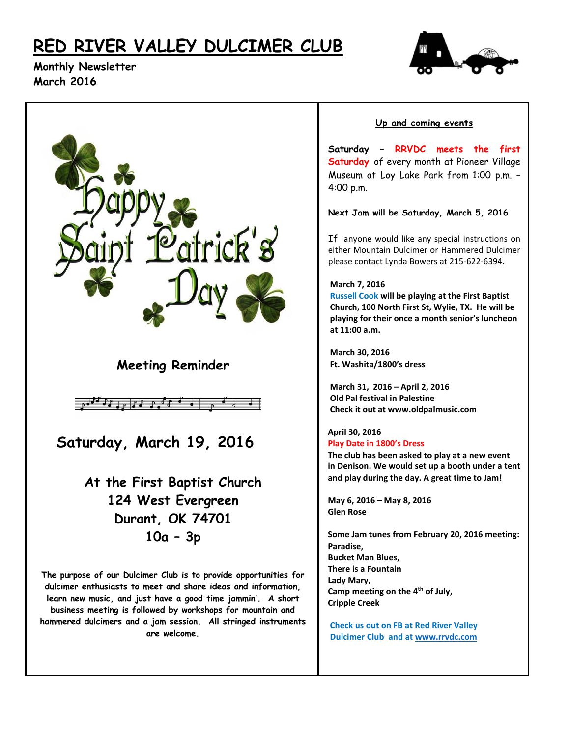# **RED RIVER VALLEY DULCIMER CLUB**



**Monthly Newsletter March 2016**



## **Up and coming events**

**Saturday – RRVDC meets the first Saturday** of every month at Pioneer Village Museum at Loy Lake Park from 1:00 p.m. – 4:00 p.m.

**Next Jam will be Saturday, March 5, 2016**

If anyone would like any special instructions on either Mountain Dulcimer or Hammered Dulcimer please contact Lynda Bowers at 215-622-6394.

#### **March 7, 2016**

 **Russell Cook will be playing at the First Baptist Church, 100 North First St, Wylie, TX. He will be playing for their once a month senior's luncheon at 11:00 a.m.** 

 **March 30, 2016 Ft. Washita/1800's dress**

 **March 31, 2016 – April 2, 2016 Old Pal festival in Palestine Check it out at www.oldpalmusic.com**

### **April 30, 2016 Play Date in 1800's Dress**

 **The club has been asked to play at a new event in Denison. We would set up a booth under a tent and play during the day. A great time to Jam!**

 **May 6, 2016 – May 8, 2016 Glen Rose**

 **Some Jam tunes from February 20, 2016 meeting: Paradise, Bucket Man Blues, There is a Fountain Lady Mary, Camp meeting on the 4th of July, Cripple Creek**

 **Check us out on FB at Red River Valley Dulcimer Club and at [www.rrvdc.com](http://www.rrvdc.com/)**